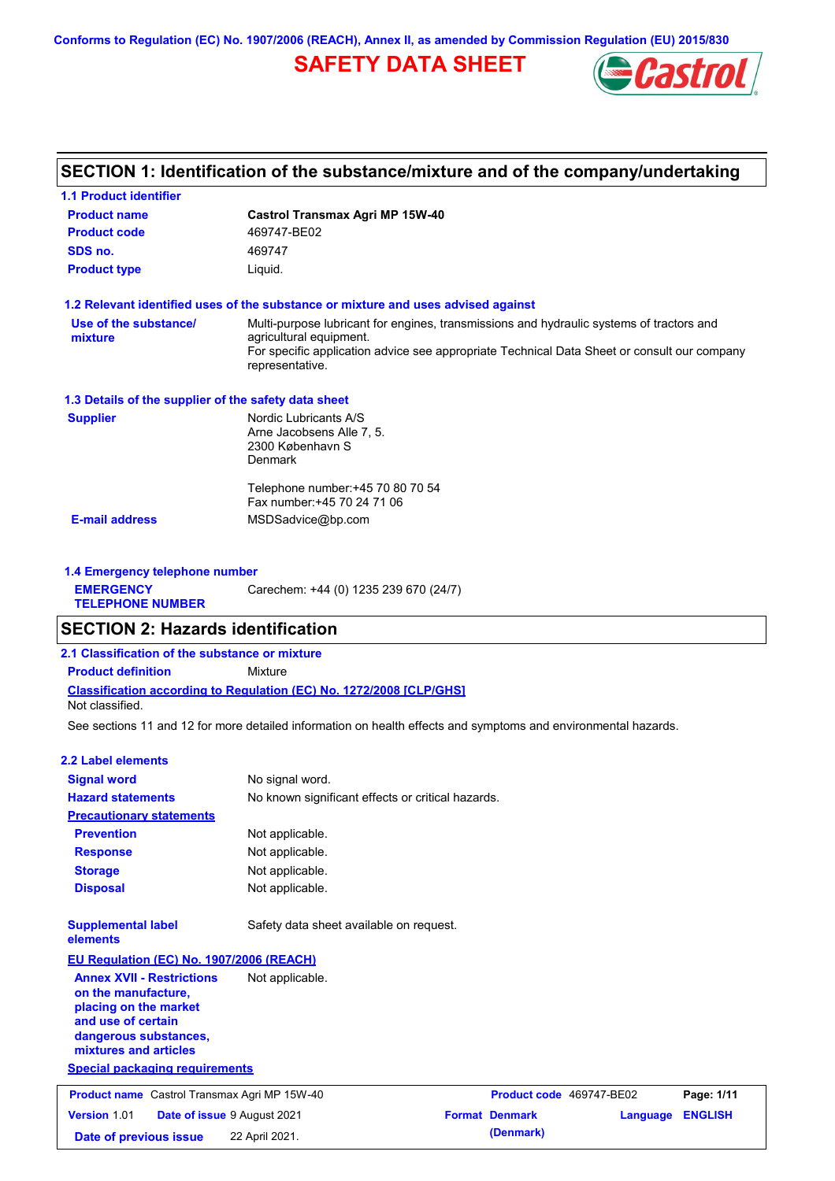**Conforms to Regulation (EC) No. 1907/2006 (REACH), Annex II, as amended by Commission Regulation (EU) 2015/830**

## **SAFETY DATA SHEET**



### **SECTION 1: Identification of the substance/mixture and of the company/undertaking**

| <b>1.1 Product identifier</b>                        |                                                                                                                                                                                                                                       |
|------------------------------------------------------|---------------------------------------------------------------------------------------------------------------------------------------------------------------------------------------------------------------------------------------|
| <b>Product name</b>                                  | <b>Castrol Transmax Agri MP 15W-40</b>                                                                                                                                                                                                |
| <b>Product code</b>                                  | 469747-BE02                                                                                                                                                                                                                           |
| SDS no.                                              | 469747                                                                                                                                                                                                                                |
| <b>Product type</b>                                  | Liquid.                                                                                                                                                                                                                               |
|                                                      | 1.2 Relevant identified uses of the substance or mixture and uses advised against                                                                                                                                                     |
| Use of the substance/<br>mixture                     | Multi-purpose lubricant for engines, transmissions and hydraulic systems of tractors and<br>agricultural equipment.<br>For specific application advice see appropriate Technical Data Sheet or consult our company<br>representative. |
| 1.3 Details of the supplier of the safety data sheet |                                                                                                                                                                                                                                       |
| <b>Supplier</b>                                      | Nordic Lubricants A/S<br>Arne Jacobsens Alle 7, 5.<br>2300 København S<br>Denmark                                                                                                                                                     |
|                                                      | Telephone number: +45 70 80 70 54<br>Fax number: +45 70 24 71 06                                                                                                                                                                      |
| <b>E-mail address</b>                                | MSDSadvice@bp.com                                                                                                                                                                                                                     |
| 1.4 Emergency telephone number                       |                                                                                                                                                                                                                                       |
| <b>EMERGENCY</b><br><b>TELEPHONE NUMBER</b>          | Carechem: +44 (0) 1235 239 670 (24/7)                                                                                                                                                                                                 |
| <b>SECTION 2: Hazards identification</b>             |                                                                                                                                                                                                                                       |
| 2.1 Classification of the substance or mixture       |                                                                                                                                                                                                                                       |
| <b>Product definition</b>                            | Mixture                                                                                                                                                                                                                               |
| Not classified.                                      | <b>Classification according to Regulation (EC) No. 1272/2008 [CLP/GHS]</b>                                                                                                                                                            |
|                                                      | See sections 11 and 12 for more detailed information on health effects and symptoms and environmental hazards.                                                                                                                        |
| <b>2.2 Label elements</b>                            |                                                                                                                                                                                                                                       |
| <b>Signal word</b>                                   | No signal word.                                                                                                                                                                                                                       |
| <b>Hazard statements</b>                             | No known significant effects or critical hazards.                                                                                                                                                                                     |
| <b>Precautionary statements</b>                      |                                                                                                                                                                                                                                       |

| <b>Prevention</b> | Not applicable. |
|-------------------|-----------------|
| <b>Response</b>   | Not applicable. |
| <b>Storage</b>    | Not applicable. |
| <b>Disposal</b>   | Not applicable. |
|                   |                 |

**Supplemental label elements**

Safety data sheet available on request.

**EU Regulation (EC) No. 1907/2006 (REACH) Annex XVII - Restrictions** 

**on the manufacture, placing on the market and use of certain dangerous substances, mixtures and articles** Not applicable.

**Special packaging requirements**

| <b>Product name</b> Castrol Transmax Agri MP 15W-40       |                | Product code 469747-BE02 |                         | Page: 1/11 |
|-----------------------------------------------------------|----------------|--------------------------|-------------------------|------------|
| <b>Version 1.01</b><br><b>Date of issue 9 August 2021</b> |                | <b>Format Denmark</b>    | <b>Language ENGLISH</b> |            |
| Date of previous issue                                    | 22 April 2021. | (Denmark)                |                         |            |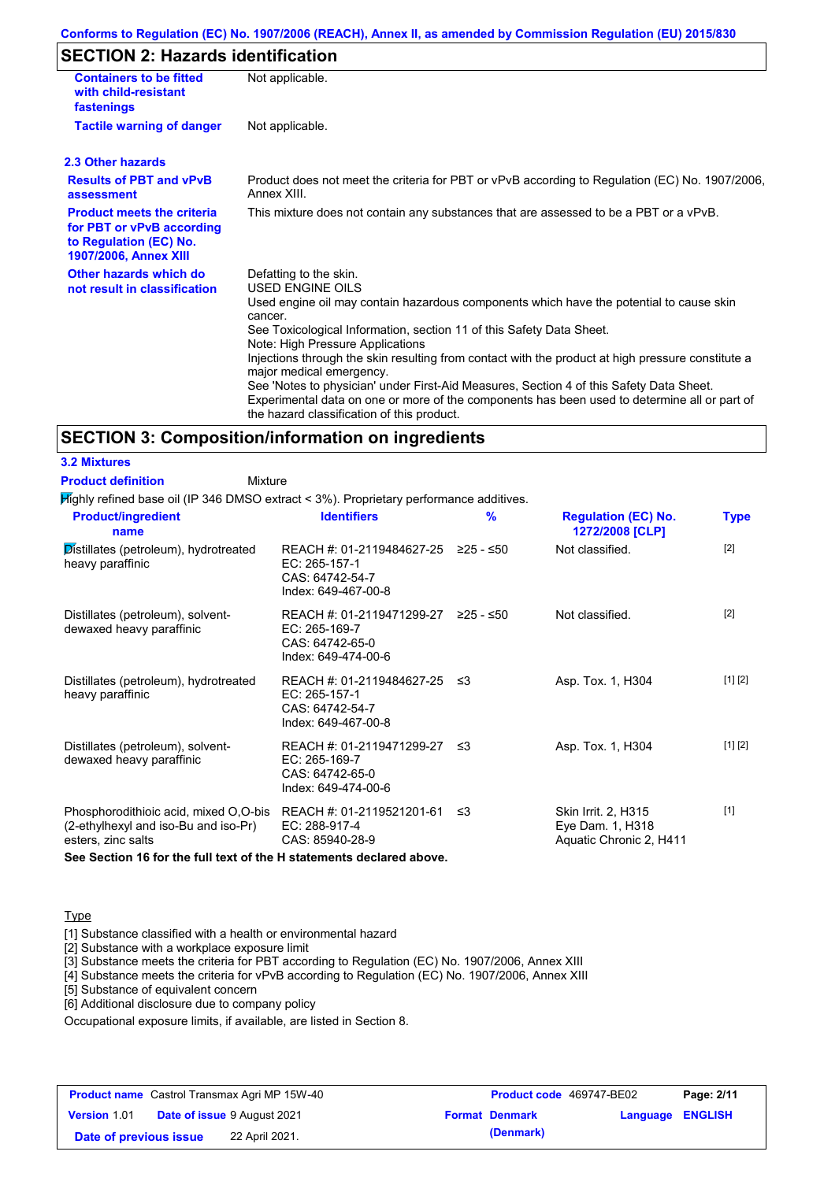### **Conforms to Regulation (EC) No. 1907/2006 (REACH), Annex II, as amended by Commission Regulation (EU) 2015/830**

### **SECTION 2: Hazards identification**

| <b>Containers to be fitted</b><br>with child-resistant<br>fastenings                                                     | Not applicable.                                                                                                                                                                                                                                                                                                                                                                                                                                                                                                                                                                                                                        |
|--------------------------------------------------------------------------------------------------------------------------|----------------------------------------------------------------------------------------------------------------------------------------------------------------------------------------------------------------------------------------------------------------------------------------------------------------------------------------------------------------------------------------------------------------------------------------------------------------------------------------------------------------------------------------------------------------------------------------------------------------------------------------|
| <b>Tactile warning of danger</b>                                                                                         | Not applicable.                                                                                                                                                                                                                                                                                                                                                                                                                                                                                                                                                                                                                        |
| 2.3 Other hazards                                                                                                        |                                                                                                                                                                                                                                                                                                                                                                                                                                                                                                                                                                                                                                        |
| <b>Results of PBT and vPvB</b><br>assessment                                                                             | Product does not meet the criteria for PBT or vPvB according to Regulation (EC) No. 1907/2006,<br>Annex XIII.                                                                                                                                                                                                                                                                                                                                                                                                                                                                                                                          |
| <b>Product meets the criteria</b><br>for PBT or vPvB according<br>to Regulation (EC) No.<br><b>1907/2006, Annex XIII</b> | This mixture does not contain any substances that are assessed to be a PBT or a vPvB.                                                                                                                                                                                                                                                                                                                                                                                                                                                                                                                                                  |
| Other hazards which do<br>not result in classification                                                                   | Defatting to the skin.<br>USED ENGINE OILS<br>Used engine oil may contain hazardous components which have the potential to cause skin<br>cancer.<br>See Toxicological Information, section 11 of this Safety Data Sheet.<br>Note: High Pressure Applications<br>Injections through the skin resulting from contact with the product at high pressure constitute a<br>major medical emergency.<br>See 'Notes to physician' under First-Aid Measures, Section 4 of this Safety Data Sheet.<br>Experimental data on one or more of the components has been used to determine all or part of<br>the hazard classification of this product. |

### **SECTION 3: Composition/information on ingredients**

**3.2 Mixtures Product definition**

Mixture

Highly refined base oil (IP 346 DMSO extract < 3%). Proprietary performance additives.

| <b>Product/ingredient</b><br>name                                                                   | <b>Identifiers</b>                                                                             | $\frac{9}{6}$ | <b>Regulation (EC) No.</b><br>1272/2008 [CLP]                      | <b>Type</b> |
|-----------------------------------------------------------------------------------------------------|------------------------------------------------------------------------------------------------|---------------|--------------------------------------------------------------------|-------------|
| Distillates (petroleum), hydrotreated<br>heavy paraffinic                                           | REACH #: 01-2119484627-25 ≥25 - ≤50<br>EC: 265-157-1<br>CAS: 64742-54-7<br>Index: 649-467-00-8 |               | Not classified.                                                    | $[2]$       |
| Distillates (petroleum), solvent-<br>dewaxed heavy paraffinic                                       | REACH #: 01-2119471299-27<br>EC: 265-169-7<br>CAS: 64742-65-0<br>Index: 649-474-00-6           | ≥25 - ≤50     | Not classified.                                                    | $[2]$       |
| Distillates (petroleum), hydrotreated<br>heavy paraffinic                                           | REACH #: 01-2119484627-25 ≤3<br>EC: 265-157-1<br>CAS: 64742-54-7<br>Index: 649-467-00-8        |               | Asp. Tox. 1, H304                                                  | [1] [2]     |
| Distillates (petroleum), solvent-<br>dewaxed heavy paraffinic                                       | REACH #: 01-2119471299-27 ≤3<br>EC: 265-169-7<br>CAS: 64742-65-0<br>Index: 649-474-00-6        |               | Asp. Tox. 1, H304                                                  | [1] [2]     |
| Phosphorodithioic acid, mixed O,O-bis<br>(2-ethylhexyl and iso-Bu and iso-Pr)<br>esters, zinc salts | REACH #: 01-2119521201-61<br>EC: 288-917-4<br>CAS: 85940-28-9                                  | ≲3            | Skin Irrit. 2, H315<br>Eye Dam. 1, H318<br>Aquatic Chronic 2, H411 | $[1]$       |
| See Section 16 for the full text of the H statements declared above.                                |                                                                                                |               |                                                                    |             |

**Type** 

[1] Substance classified with a health or environmental hazard

[2] Substance with a workplace exposure limit

[3] Substance meets the criteria for PBT according to Regulation (EC) No. 1907/2006, Annex XIII

[4] Substance meets the criteria for vPvB according to Regulation (EC) No. 1907/2006, Annex XIII

[5] Substance of equivalent concern

[6] Additional disclosure due to company policy

Occupational exposure limits, if available, are listed in Section 8.

| <b>Product name</b> Castrol Transmax Agri MP 15W-40 |  | Product code 469747-BE02           |                       | Page: 2/11              |  |
|-----------------------------------------------------|--|------------------------------------|-----------------------|-------------------------|--|
| <b>Version 1.01</b>                                 |  | <b>Date of issue 9 August 2021</b> | <b>Format Denmark</b> | <b>Language ENGLISH</b> |  |
| Date of previous issue                              |  | 22 April 2021.                     | (Denmark)             |                         |  |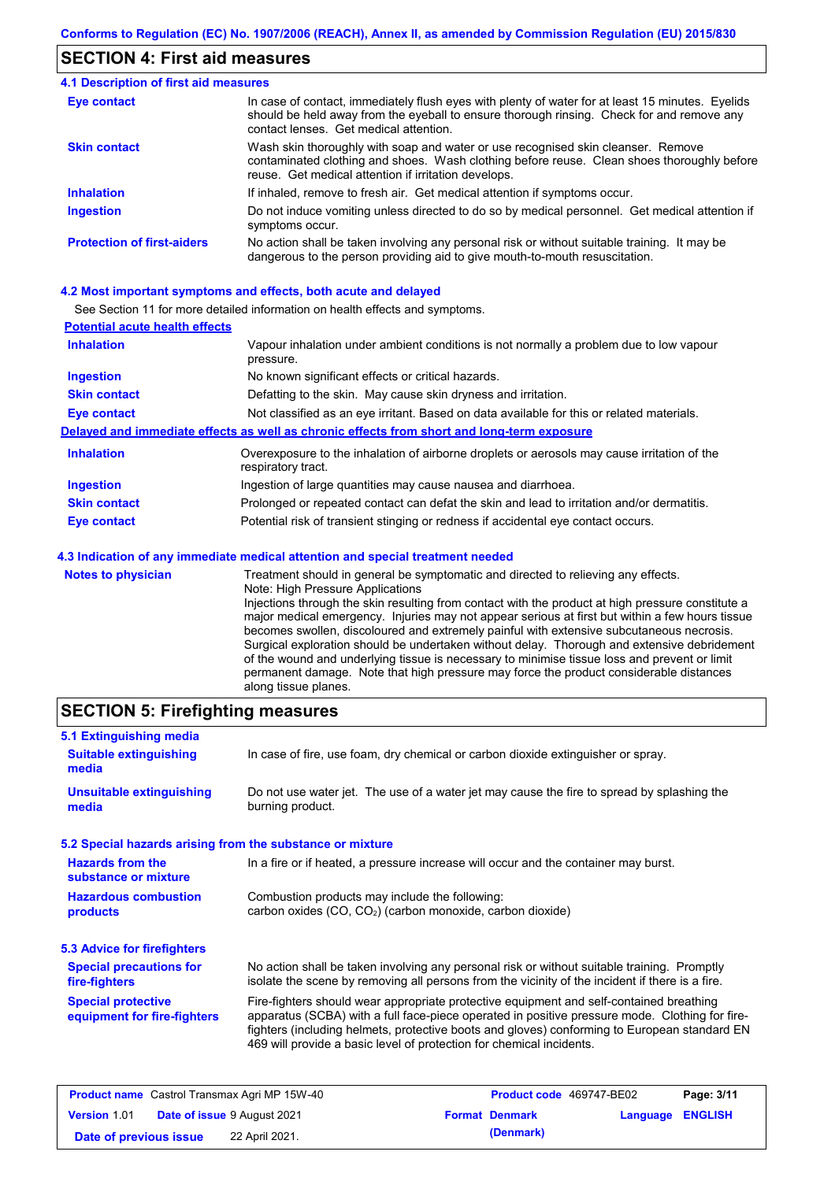### **SECTION 4: First aid measures**

#### Do not induce vomiting unless directed to do so by medical personnel. Get medical attention if symptoms occur. In case of contact, immediately flush eyes with plenty of water for at least 15 minutes. Eyelids should be held away from the eyeball to ensure thorough rinsing. Check for and remove any contact lenses. Get medical attention. **4.1 Description of first aid measures** If inhaled, remove to fresh air. Get medical attention if symptoms occur. **Ingestion Inhalation Eye contact Protection of first-aiders** No action shall be taken involving any personal risk or without suitable training. It may be dangerous to the person providing aid to give mouth-to-mouth resuscitation. **Skin contact** Wash skin thoroughly with soap and water or use recognised skin cleanser. Remove contaminated clothing and shoes. Wash clothing before reuse. Clean shoes thoroughly before reuse. Get medical attention if irritation develops.

### **4.2 Most important symptoms and effects, both acute and delayed**

See Section 11 for more detailed information on health effects and symptoms.

| <b>Potential acute health effects</b> |                                                                                                                   |
|---------------------------------------|-------------------------------------------------------------------------------------------------------------------|
| <b>Inhalation</b>                     | Vapour inhalation under ambient conditions is not normally a problem due to low vapour<br>pressure.               |
| <b>Ingestion</b>                      | No known significant effects or critical hazards.                                                                 |
| <b>Skin contact</b>                   | Defatting to the skin. May cause skin dryness and irritation.                                                     |
| <b>Eye contact</b>                    | Not classified as an eye irritant. Based on data available for this or related materials.                         |
|                                       | Delayed and immediate effects as well as chronic effects from short and long-term exposure                        |
| <b>Inhalation</b>                     | Overexposure to the inhalation of airborne droplets or aerosols may cause irritation of the<br>respiratory tract. |
| <b>Ingestion</b>                      | Ingestion of large quantities may cause nausea and diarrhoea.                                                     |
| <b>Skin contact</b>                   | Prolonged or repeated contact can defat the skin and lead to irritation and/or dermatitis.                        |
| <b>Eye contact</b>                    | Potential risk of transient stinging or redness if accidental eye contact occurs.                                 |
|                                       | 4.3 Indication of any immediate medical attention and special treatment needed                                    |
| Notes to physician                    | Treatment should in general be symptomatic and directed to relieving any effects                                  |

**es to physician** Treatment should in general be symptomatic and directed to relieving any effects. Note: High Pressure Applications Injections through the skin resulting from contact with the product at high pressure constitute a major medical emergency. Injuries may not appear serious at first but within a few hours tissue becomes swollen, discoloured and extremely painful with extensive subcutaneous necrosis. Surgical exploration should be undertaken without delay. Thorough and extensive debridement of the wound and underlying tissue is necessary to minimise tissue loss and prevent or limit permanent damage. Note that high pressure may force the product considerable distances along tissue planes.

### **SECTION 5: Firefighting measures**

| 5.1 Extinguishing media                                   |                                                                                                                                                                                                                                                                                                                                                                   |
|-----------------------------------------------------------|-------------------------------------------------------------------------------------------------------------------------------------------------------------------------------------------------------------------------------------------------------------------------------------------------------------------------------------------------------------------|
| <b>Suitable extinguishing</b><br>media                    | In case of fire, use foam, dry chemical or carbon dioxide extinguisher or spray.                                                                                                                                                                                                                                                                                  |
| <b>Unsuitable extinguishing</b><br>media                  | Do not use water jet. The use of a water jet may cause the fire to spread by splashing the<br>burning product.                                                                                                                                                                                                                                                    |
| 5.2 Special hazards arising from the substance or mixture |                                                                                                                                                                                                                                                                                                                                                                   |
| <b>Hazards from the</b><br>substance or mixture           | In a fire or if heated, a pressure increase will occur and the container may burst.                                                                                                                                                                                                                                                                               |
| <b>Hazardous combustion</b><br>products                   | Combustion products may include the following:<br>carbon oxides (CO, CO <sub>2</sub> ) (carbon monoxide, carbon dioxide)                                                                                                                                                                                                                                          |
| 5.3 Advice for firefighters                               |                                                                                                                                                                                                                                                                                                                                                                   |
| <b>Special precautions for</b><br>fire-fighters           | No action shall be taken involving any personal risk or without suitable training. Promptly<br>isolate the scene by removing all persons from the vicinity of the incident if there is a fire.                                                                                                                                                                    |
| <b>Special protective</b><br>equipment for fire-fighters  | Fire-fighters should wear appropriate protective equipment and self-contained breathing<br>apparatus (SCBA) with a full face-piece operated in positive pressure mode. Clothing for fire-<br>fighters (including helmets, protective boots and gloves) conforming to European standard EN<br>469 will provide a basic level of protection for chemical incidents. |

| <b>Product name</b> Castrol Transmax Agri MP 15W-40 |  | <b>Product code</b> 469747-BE02    |                       | Page: 3/11              |  |
|-----------------------------------------------------|--|------------------------------------|-----------------------|-------------------------|--|
| Version 1.01                                        |  | <b>Date of issue 9 August 2021</b> | <b>Format Denmark</b> | <b>Language ENGLISH</b> |  |
| Date of previous issue                              |  | 22 April 2021.                     | (Denmark)             |                         |  |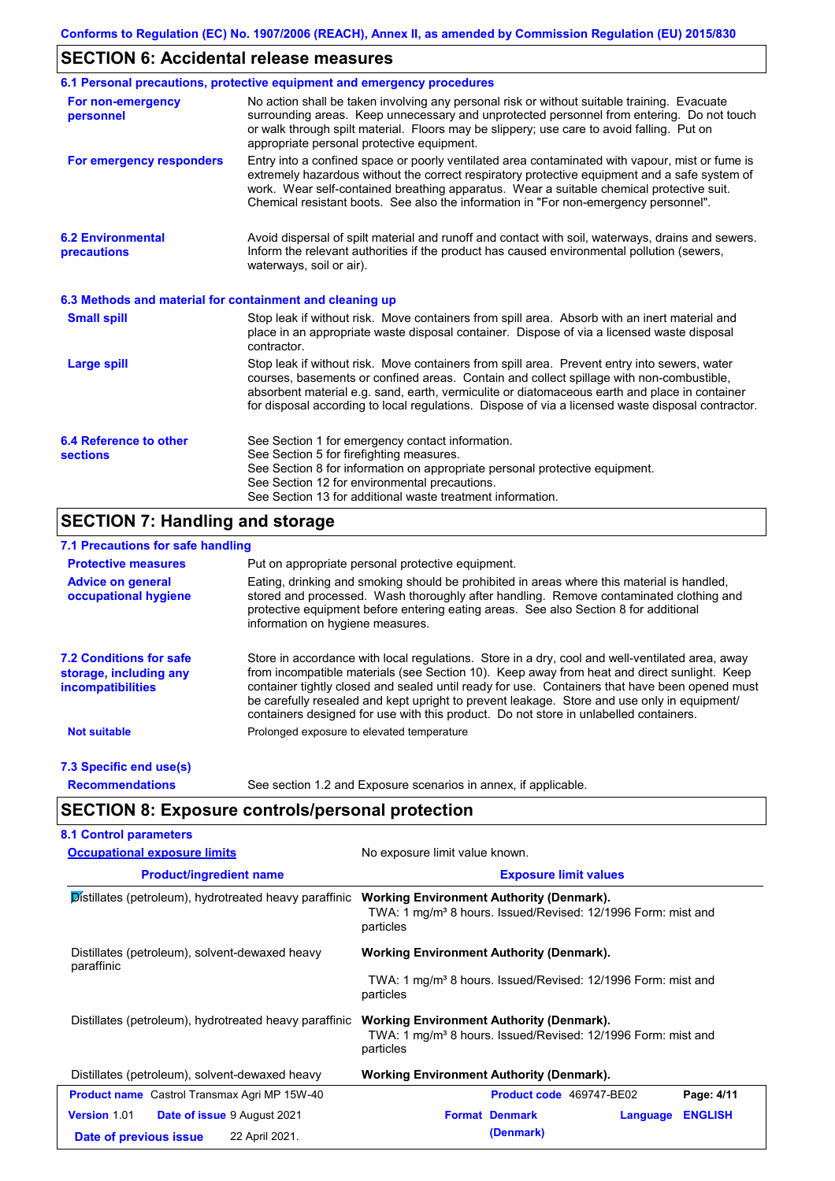### **SECTION 6: Accidental release measures**

|                                                          | 6.1 Personal precautions, protective equipment and emergency procedures                                                                                                                                                                                                                                                                                                                        |
|----------------------------------------------------------|------------------------------------------------------------------------------------------------------------------------------------------------------------------------------------------------------------------------------------------------------------------------------------------------------------------------------------------------------------------------------------------------|
| For non-emergency<br>personnel                           | No action shall be taken involving any personal risk or without suitable training. Evacuate<br>surrounding areas. Keep unnecessary and unprotected personnel from entering. Do not touch<br>or walk through spilt material. Floors may be slippery; use care to avoid falling. Put on<br>appropriate personal protective equipment.                                                            |
| For emergency responders                                 | Entry into a confined space or poorly ventilated area contaminated with vapour, mist or fume is<br>extremely hazardous without the correct respiratory protective equipment and a safe system of<br>work. Wear self-contained breathing apparatus. Wear a suitable chemical protective suit.<br>Chemical resistant boots. See also the information in "For non-emergency personnel".           |
| <b>6.2 Environmental</b><br>precautions                  | Avoid dispersal of spilt material and runoff and contact with soil, waterways, drains and sewers.<br>Inform the relevant authorities if the product has caused environmental pollution (sewers,<br>waterways, soil or air).                                                                                                                                                                    |
| 6.3 Methods and material for containment and cleaning up |                                                                                                                                                                                                                                                                                                                                                                                                |
| <b>Small spill</b>                                       | Stop leak if without risk. Move containers from spill area. Absorb with an inert material and<br>place in an appropriate waste disposal container. Dispose of via a licensed waste disposal<br>contractor.                                                                                                                                                                                     |
| <b>Large spill</b>                                       | Stop leak if without risk. Move containers from spill area. Prevent entry into sewers, water<br>courses, basements or confined areas. Contain and collect spillage with non-combustible,<br>absorbent material e.g. sand, earth, vermiculite or diatomaceous earth and place in container<br>for disposal according to local regulations. Dispose of via a licensed waste disposal contractor. |
| 6.4 Reference to other<br><b>sections</b>                | See Section 1 for emergency contact information.<br>See Section 5 for firefighting measures.<br>See Section 8 for information on appropriate personal protective equipment.<br>See Section 12 for environmental precautions.<br>See Section 13 for additional waste treatment information.                                                                                                     |

### **SECTION 7: Handling and storage**

### **7.1 Precautions for safe handling**

| <b>Protective measures</b>                                                           | Put on appropriate personal protective equipment.                                                                                                                                                                                                                                                                                                                                                                                                                                        |
|--------------------------------------------------------------------------------------|------------------------------------------------------------------------------------------------------------------------------------------------------------------------------------------------------------------------------------------------------------------------------------------------------------------------------------------------------------------------------------------------------------------------------------------------------------------------------------------|
| <b>Advice on general</b><br>occupational hygiene                                     | Eating, drinking and smoking should be prohibited in areas where this material is handled,<br>stored and processed. Wash thoroughly after handling. Remove contaminated clothing and<br>protective equipment before entering eating areas. See also Section 8 for additional<br>information on hygiene measures.                                                                                                                                                                         |
| <b>7.2 Conditions for safe</b><br>storage, including any<br><i>incompatibilities</i> | Store in accordance with local requiations. Store in a dry, cool and well-ventilated area, away<br>from incompatible materials (see Section 10). Keep away from heat and direct sunlight. Keep<br>container tightly closed and sealed until ready for use. Containers that have been opened must<br>be carefully resealed and kept upright to prevent leakage. Store and use only in equipment/<br>containers designed for use with this product. Do not store in unlabelled containers. |
| <b>Not suitable</b>                                                                  | Prolonged exposure to elevated temperature                                                                                                                                                                                                                                                                                                                                                                                                                                               |
| 7.3 Specific end use(s)                                                              |                                                                                                                                                                                                                                                                                                                                                                                                                                                                                          |
| <b>Recommendations</b>                                                               | See section 1.2 and Exposure scenarios in annex, if applicable.                                                                                                                                                                                                                                                                                                                                                                                                                          |

**SECTION 8: Exposure controls/personal protection**

| <b>Occupational exposure limits</b>                    | No exposure limit value known.                                                                                                           |  |  |  |
|--------------------------------------------------------|------------------------------------------------------------------------------------------------------------------------------------------|--|--|--|
| <b>Product/ingredient name</b>                         | <b>Exposure limit values</b>                                                                                                             |  |  |  |
| Distillates (petroleum), hydrotreated heavy paraffinic | <b>Working Environment Authority (Denmark).</b><br>TWA: 1 mg/m <sup>3</sup> 8 hours. Issued/Revised: 12/1996 Form: mist and<br>particles |  |  |  |
| Distillates (petroleum), solvent-dewaxed heavy         | <b>Working Environment Authority (Denmark).</b>                                                                                          |  |  |  |
| paraffinic                                             | TWA: 1 mg/m <sup>3</sup> 8 hours. Issued/Revised: 12/1996 Form: mist and<br>particles                                                    |  |  |  |
| Distillates (petroleum), hydrotreated heavy paraffinic | <b>Working Environment Authority (Denmark).</b><br>TWA: 1 mg/m <sup>3</sup> 8 hours. Issued/Revised: 12/1996 Form: mist and<br>particles |  |  |  |
| Distillates (petroleum), solvent-dewaxed heavy         | <b>Working Environment Authority (Denmark).</b>                                                                                          |  |  |  |
| <b>Product name</b> Castrol Transmax Agri MP 15W-40    | Page: 4/11<br><b>Product code</b> 469747-BE02                                                                                            |  |  |  |
| <b>Version 1.01</b><br>Date of issue 9 August 2021     | <b>Format Denmark</b><br><b>ENGLISH</b><br>Language                                                                                      |  |  |  |
| 22 April 2021.<br>Date of previous issue               | (Denmark)                                                                                                                                |  |  |  |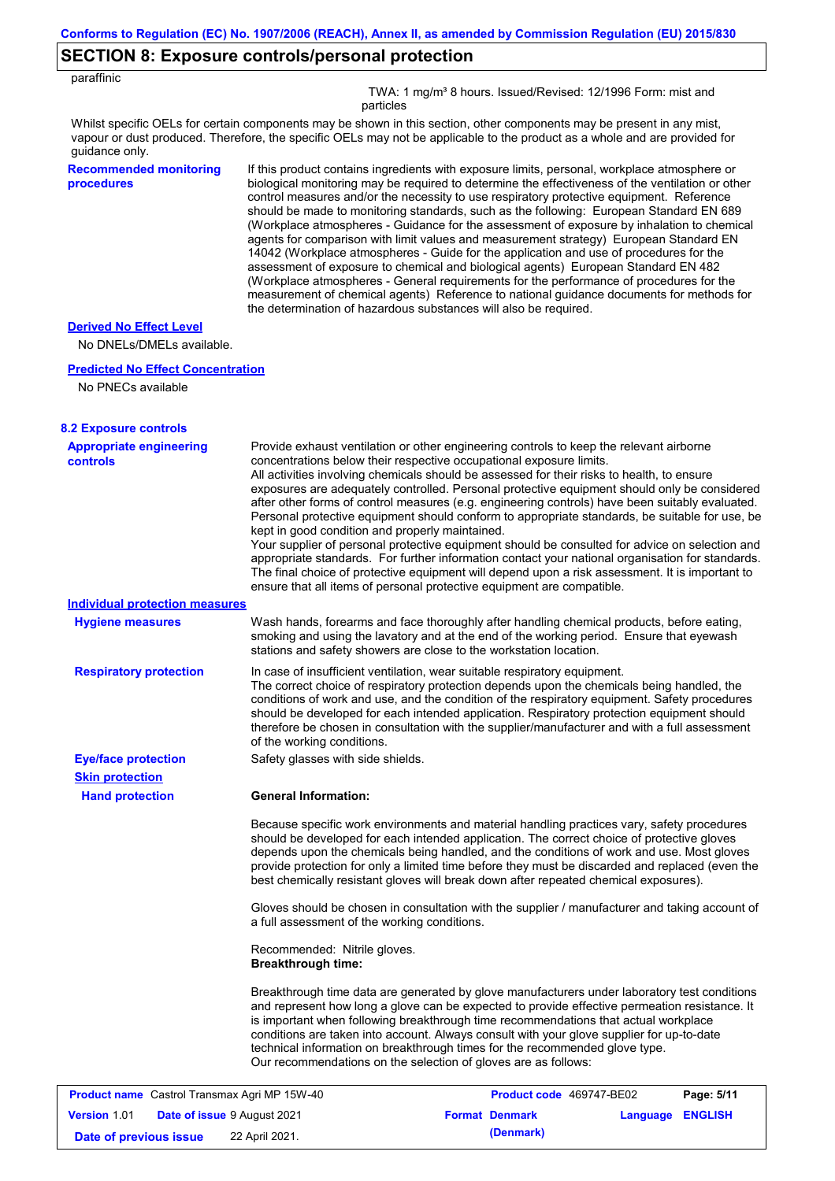# **SECTION 8: Exposure controls/personal protection**

| paraffinic                                                  |                                                                                                                                                                                                                                                                                                                                                                                                                                                                                                                                                                                                                                                                                                                                                                                                                                                                                                                                                                                                                            |  |  |  |  |
|-------------------------------------------------------------|----------------------------------------------------------------------------------------------------------------------------------------------------------------------------------------------------------------------------------------------------------------------------------------------------------------------------------------------------------------------------------------------------------------------------------------------------------------------------------------------------------------------------------------------------------------------------------------------------------------------------------------------------------------------------------------------------------------------------------------------------------------------------------------------------------------------------------------------------------------------------------------------------------------------------------------------------------------------------------------------------------------------------|--|--|--|--|
|                                                             | TWA: 1 mg/m <sup>3</sup> 8 hours. Issued/Revised: 12/1996 Form: mist and<br>particles                                                                                                                                                                                                                                                                                                                                                                                                                                                                                                                                                                                                                                                                                                                                                                                                                                                                                                                                      |  |  |  |  |
| guidance only.                                              | Whilst specific OELs for certain components may be shown in this section, other components may be present in any mist,<br>vapour or dust produced. Therefore, the specific OELs may not be applicable to the product as a whole and are provided for                                                                                                                                                                                                                                                                                                                                                                                                                                                                                                                                                                                                                                                                                                                                                                       |  |  |  |  |
| <b>Recommended monitoring</b><br>procedures                 | If this product contains ingredients with exposure limits, personal, workplace atmosphere or<br>biological monitoring may be required to determine the effectiveness of the ventilation or other<br>control measures and/or the necessity to use respiratory protective equipment. Reference<br>should be made to monitoring standards, such as the following: European Standard EN 689<br>(Workplace atmospheres - Guidance for the assessment of exposure by inhalation to chemical<br>agents for comparison with limit values and measurement strategy) European Standard EN<br>14042 (Workplace atmospheres - Guide for the application and use of procedures for the<br>assessment of exposure to chemical and biological agents) European Standard EN 482<br>(Workplace atmospheres - General requirements for the performance of procedures for the<br>measurement of chemical agents) Reference to national guidance documents for methods for<br>the determination of hazardous substances will also be required. |  |  |  |  |
| <b>Derived No Effect Level</b><br>No DNELs/DMELs available. |                                                                                                                                                                                                                                                                                                                                                                                                                                                                                                                                                                                                                                                                                                                                                                                                                                                                                                                                                                                                                            |  |  |  |  |
| <b>Predicted No Effect Concentration</b>                    |                                                                                                                                                                                                                                                                                                                                                                                                                                                                                                                                                                                                                                                                                                                                                                                                                                                                                                                                                                                                                            |  |  |  |  |
| No PNECs available                                          |                                                                                                                                                                                                                                                                                                                                                                                                                                                                                                                                                                                                                                                                                                                                                                                                                                                                                                                                                                                                                            |  |  |  |  |
| <b>8.2 Exposure controls</b>                                |                                                                                                                                                                                                                                                                                                                                                                                                                                                                                                                                                                                                                                                                                                                                                                                                                                                                                                                                                                                                                            |  |  |  |  |
| <b>Appropriate engineering</b><br><b>controls</b>           | Provide exhaust ventilation or other engineering controls to keep the relevant airborne<br>concentrations below their respective occupational exposure limits.<br>All activities involving chemicals should be assessed for their risks to health, to ensure<br>exposures are adequately controlled. Personal protective equipment should only be considered<br>after other forms of control measures (e.g. engineering controls) have been suitably evaluated.<br>Personal protective equipment should conform to appropriate standards, be suitable for use, be<br>kept in good condition and properly maintained.<br>Your supplier of personal protective equipment should be consulted for advice on selection and<br>appropriate standards. For further information contact your national organisation for standards.<br>The final choice of protective equipment will depend upon a risk assessment. It is important to<br>ensure that all items of personal protective equipment are compatible.                    |  |  |  |  |
| <b>Individual protection measures</b>                       |                                                                                                                                                                                                                                                                                                                                                                                                                                                                                                                                                                                                                                                                                                                                                                                                                                                                                                                                                                                                                            |  |  |  |  |
| <b>Hygiene measures</b>                                     | Wash hands, forearms and face thoroughly after handling chemical products, before eating,<br>smoking and using the lavatory and at the end of the working period. Ensure that eyewash<br>stations and safety showers are close to the workstation location.                                                                                                                                                                                                                                                                                                                                                                                                                                                                                                                                                                                                                                                                                                                                                                |  |  |  |  |
| <b>Respiratory protection</b>                               | In case of insufficient ventilation, wear suitable respiratory equipment.<br>The correct choice of respiratory protection depends upon the chemicals being handled, the<br>conditions of work and use, and the condition of the respiratory equipment. Safety procedures<br>should be developed for each intended application. Respiratory protection equipment should<br>therefore be chosen in consultation with the supplier/manufacturer and with a full assessment<br>of the working conditions.                                                                                                                                                                                                                                                                                                                                                                                                                                                                                                                      |  |  |  |  |
| <b>Eye/face protection</b>                                  | Safety glasses with side shields.                                                                                                                                                                                                                                                                                                                                                                                                                                                                                                                                                                                                                                                                                                                                                                                                                                                                                                                                                                                          |  |  |  |  |
| <b>Skin protection</b><br><b>Hand protection</b>            | <b>General Information:</b>                                                                                                                                                                                                                                                                                                                                                                                                                                                                                                                                                                                                                                                                                                                                                                                                                                                                                                                                                                                                |  |  |  |  |
|                                                             | Because specific work environments and material handling practices vary, safety procedures<br>should be developed for each intended application. The correct choice of protective gloves<br>depends upon the chemicals being handled, and the conditions of work and use. Most gloves<br>provide protection for only a limited time before they must be discarded and replaced (even the<br>best chemically resistant gloves will break down after repeated chemical exposures).                                                                                                                                                                                                                                                                                                                                                                                                                                                                                                                                           |  |  |  |  |
|                                                             | Gloves should be chosen in consultation with the supplier / manufacturer and taking account of<br>a full assessment of the working conditions.                                                                                                                                                                                                                                                                                                                                                                                                                                                                                                                                                                                                                                                                                                                                                                                                                                                                             |  |  |  |  |
|                                                             | Recommended: Nitrile gloves.<br><b>Breakthrough time:</b>                                                                                                                                                                                                                                                                                                                                                                                                                                                                                                                                                                                                                                                                                                                                                                                                                                                                                                                                                                  |  |  |  |  |
|                                                             | Breakthrough time data are generated by glove manufacturers under laboratory test conditions<br>and represent how long a glove can be expected to provide effective permeation resistance. It<br>is important when following breakthrough time recommendations that actual workplace<br>conditions are taken into account. Always consult with your glove supplier for up-to-date<br>technical information on breakthrough times for the recommended glove type.<br>Our recommendations on the selection of gloves are as follows:                                                                                                                                                                                                                                                                                                                                                                                                                                                                                         |  |  |  |  |
| Product name Castrol Transmax Agri MP 15W-40                | Product code 469747-BE02<br>Page: 5/11                                                                                                                                                                                                                                                                                                                                                                                                                                                                                                                                                                                                                                                                                                                                                                                                                                                                                                                                                                                     |  |  |  |  |
| <b>Version 1.01</b><br><b>Date of issue 9 August 2021</b>   | <b>Format Denmark</b><br>Language ENGLISH                                                                                                                                                                                                                                                                                                                                                                                                                                                                                                                                                                                                                                                                                                                                                                                                                                                                                                                                                                                  |  |  |  |  |
| Date of previous issue                                      | (Denmark)<br>22 April 2021.                                                                                                                                                                                                                                                                                                                                                                                                                                                                                                                                                                                                                                                                                                                                                                                                                                                                                                                                                                                                |  |  |  |  |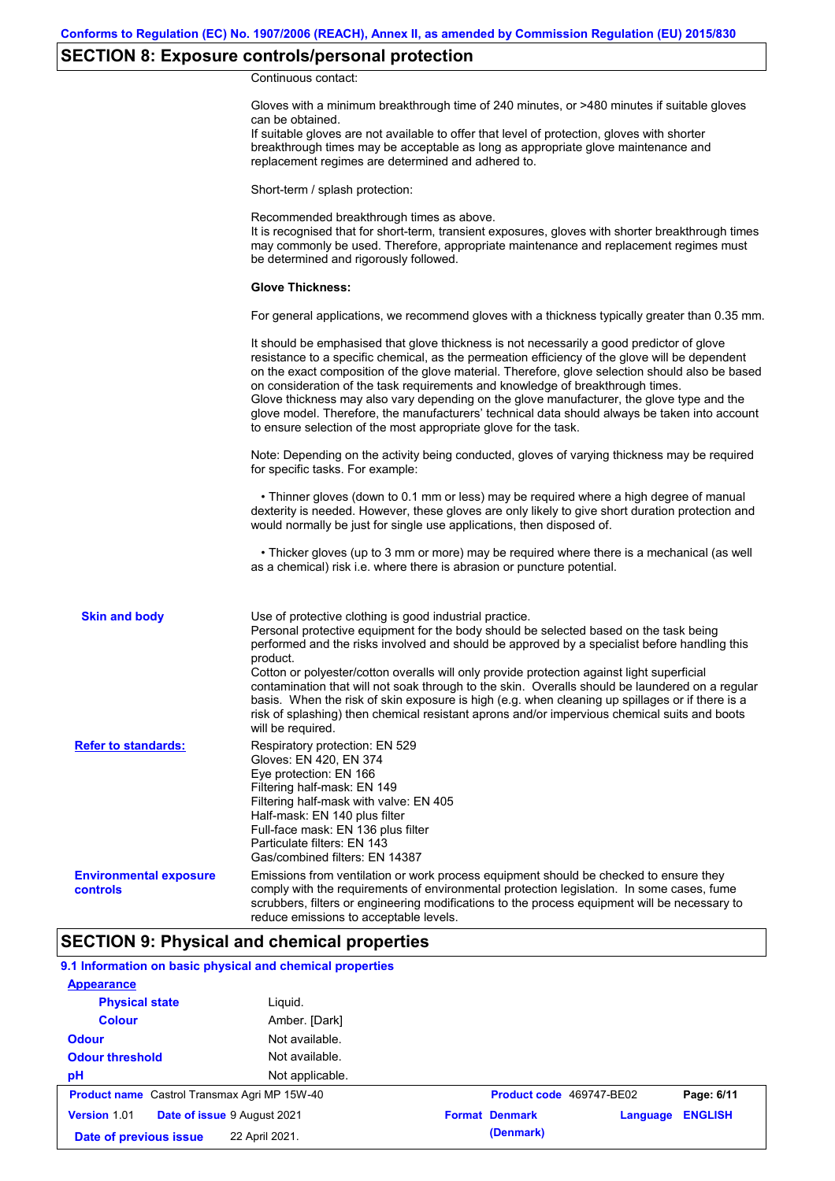# **SECTION 8: Exposure controls/personal protection**

Continuous contact:

|                                           | Gloves with a minimum breakthrough time of 240 minutes, or >480 minutes if suitable gloves<br>can be obtained.<br>If suitable gloves are not available to offer that level of protection, gloves with shorter<br>breakthrough times may be acceptable as long as appropriate glove maintenance and<br>replacement regimes are determined and adhered to.                                                                                                                                                                                                                                                                                                                              |
|-------------------------------------------|---------------------------------------------------------------------------------------------------------------------------------------------------------------------------------------------------------------------------------------------------------------------------------------------------------------------------------------------------------------------------------------------------------------------------------------------------------------------------------------------------------------------------------------------------------------------------------------------------------------------------------------------------------------------------------------|
|                                           | Short-term / splash protection:                                                                                                                                                                                                                                                                                                                                                                                                                                                                                                                                                                                                                                                       |
|                                           | Recommended breakthrough times as above.<br>It is recognised that for short-term, transient exposures, gloves with shorter breakthrough times<br>may commonly be used. Therefore, appropriate maintenance and replacement regimes must<br>be determined and rigorously followed.                                                                                                                                                                                                                                                                                                                                                                                                      |
|                                           | <b>Glove Thickness:</b>                                                                                                                                                                                                                                                                                                                                                                                                                                                                                                                                                                                                                                                               |
|                                           | For general applications, we recommend gloves with a thickness typically greater than 0.35 mm.                                                                                                                                                                                                                                                                                                                                                                                                                                                                                                                                                                                        |
|                                           | It should be emphasised that glove thickness is not necessarily a good predictor of glove<br>resistance to a specific chemical, as the permeation efficiency of the glove will be dependent<br>on the exact composition of the glove material. Therefore, glove selection should also be based<br>on consideration of the task requirements and knowledge of breakthrough times.<br>Glove thickness may also vary depending on the glove manufacturer, the glove type and the<br>glove model. Therefore, the manufacturers' technical data should always be taken into account<br>to ensure selection of the most appropriate glove for the task.                                     |
|                                           | Note: Depending on the activity being conducted, gloves of varying thickness may be required<br>for specific tasks. For example:                                                                                                                                                                                                                                                                                                                                                                                                                                                                                                                                                      |
|                                           | • Thinner gloves (down to 0.1 mm or less) may be required where a high degree of manual<br>dexterity is needed. However, these gloves are only likely to give short duration protection and<br>would normally be just for single use applications, then disposed of.                                                                                                                                                                                                                                                                                                                                                                                                                  |
|                                           | • Thicker gloves (up to 3 mm or more) may be required where there is a mechanical (as well<br>as a chemical) risk i.e. where there is abrasion or puncture potential.                                                                                                                                                                                                                                                                                                                                                                                                                                                                                                                 |
| <b>Skin and body</b>                      | Use of protective clothing is good industrial practice.<br>Personal protective equipment for the body should be selected based on the task being<br>performed and the risks involved and should be approved by a specialist before handling this<br>product.<br>Cotton or polyester/cotton overalls will only provide protection against light superficial<br>contamination that will not soak through to the skin. Overalls should be laundered on a regular<br>basis. When the risk of skin exposure is high (e.g. when cleaning up spillages or if there is a<br>risk of splashing) then chemical resistant aprons and/or impervious chemical suits and boots<br>will be required. |
| <b>Refer to standards:</b>                | Respiratory protection: EN 529<br>Gloves: EN 420, EN 374<br>Eye protection: EN 166<br>Filtering half-mask: EN 149<br>Filtering half-mask with valve: EN 405<br>Half-mask: EN 140 plus filter<br>Full-face mask: EN 136 plus filter<br>Particulate filters: EN 143<br>Gas/combined filters: EN 14387                                                                                                                                                                                                                                                                                                                                                                                   |
| <b>Environmental exposure</b><br>controls | Emissions from ventilation or work process equipment should be checked to ensure they<br>comply with the requirements of environmental protection legislation. In some cases, fume<br>scrubbers, filters or engineering modifications to the process equipment will be necessary to<br>reduce emissions to acceptable levels.                                                                                                                                                                                                                                                                                                                                                         |

### **SECTION 9: Physical and chemical properties**

### **9.1 Information on basic physical and chemical properties**

| <b>Appearance</b>                                   |                 |                          |          |                |
|-----------------------------------------------------|-----------------|--------------------------|----------|----------------|
| <b>Physical state</b>                               | Liguid.         |                          |          |                |
| <b>Colour</b>                                       | Amber. [Dark]   |                          |          |                |
| <b>Odour</b>                                        | Not available.  |                          |          |                |
| <b>Odour threshold</b>                              | Not available.  |                          |          |                |
| pH                                                  | Not applicable. |                          |          |                |
| <b>Product name</b> Castrol Transmax Agri MP 15W-40 |                 | Product code 469747-BE02 |          | Page: 6/11     |
| Date of issue 9 August 2021<br><b>Version 1.01</b>  |                 | <b>Format Denmark</b>    | Language | <b>ENGLISH</b> |
| Date of previous issue                              | 22 April 2021.  | (Denmark)                |          |                |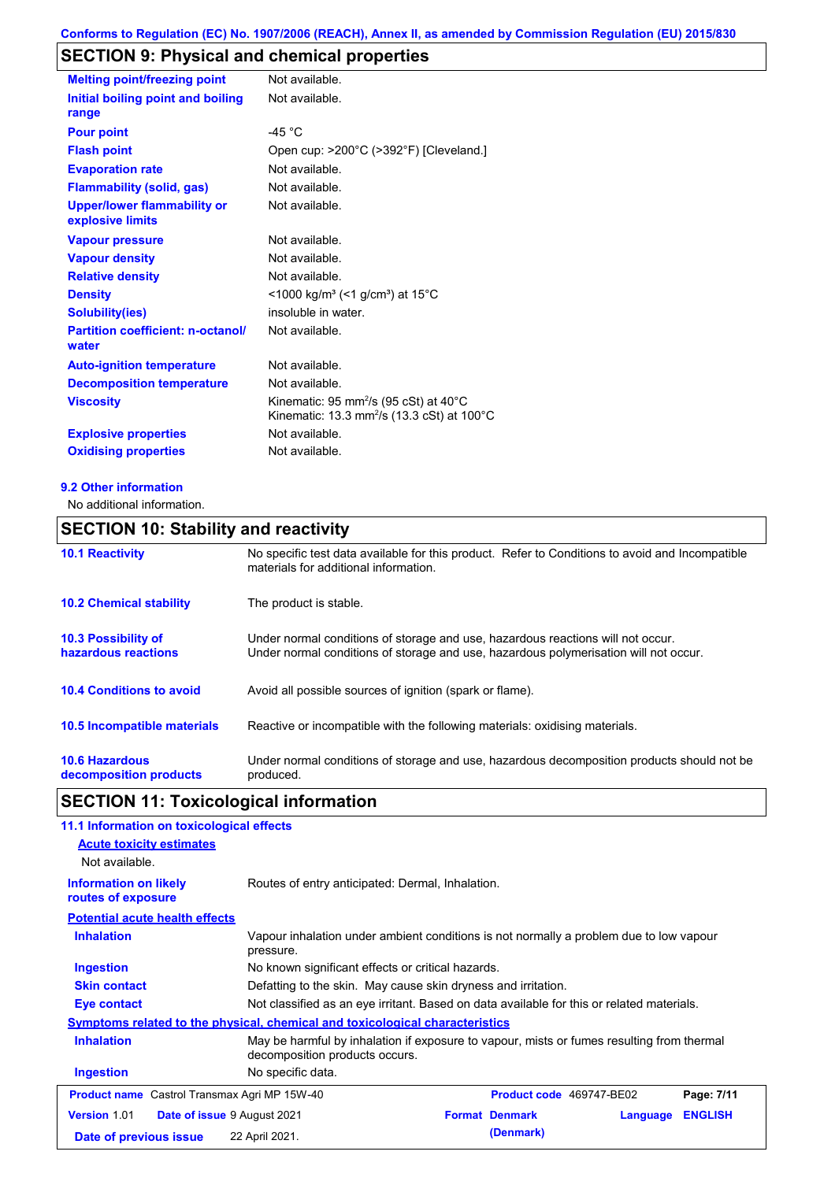# **SECTION 9: Physical and chemical properties**

| <b>Melting point/freezing point</b>                    | Not available.                                                                                                         |
|--------------------------------------------------------|------------------------------------------------------------------------------------------------------------------------|
| Initial boiling point and boiling<br>range             | Not available.                                                                                                         |
| <b>Pour point</b>                                      | -45 $^{\circ}$ C                                                                                                       |
| <b>Flash point</b>                                     | Open cup: >200°C (>392°F) [Cleveland.]                                                                                 |
| <b>Evaporation rate</b>                                | Not available.                                                                                                         |
| <b>Flammability (solid, gas)</b>                       | Not available.                                                                                                         |
| <b>Upper/lower flammability or</b><br>explosive limits | Not available.                                                                                                         |
| <b>Vapour pressure</b>                                 | Not available.                                                                                                         |
| <b>Vapour density</b>                                  | Not available.                                                                                                         |
| <b>Relative density</b>                                | Not available.                                                                                                         |
| <b>Density</b>                                         | $<$ 1000 kg/m <sup>3</sup> (<1 g/cm <sup>3</sup> ) at 15 <sup>°</sup> C                                                |
| <b>Solubility(ies)</b>                                 | insoluble in water.                                                                                                    |
| <b>Partition coefficient: n-octanol/</b><br>water      | Not available.                                                                                                         |
| <b>Auto-ignition temperature</b>                       | Not available.                                                                                                         |
| <b>Decomposition temperature</b>                       | Not available.                                                                                                         |
| <b>Viscosity</b>                                       | Kinematic: 95 mm <sup>2</sup> /s (95 cSt) at 40 $^{\circ}$ C<br>Kinematic: 13.3 mm <sup>2</sup> /s (13.3 cSt) at 100°C |
| <b>Explosive properties</b>                            | Not available.                                                                                                         |
| <b>Oxidising properties</b>                            | Not available.                                                                                                         |

### **9.2 Other information**

No additional information.

### **SECTION 10: Stability and reactivity**

| <b>10.1 Reactivity</b>                            | No specific test data available for this product. Refer to Conditions to avoid and Incompatible<br>materials for additional information.                                |
|---------------------------------------------------|-------------------------------------------------------------------------------------------------------------------------------------------------------------------------|
| <b>10.2 Chemical stability</b>                    | The product is stable.                                                                                                                                                  |
| <b>10.3 Possibility of</b><br>hazardous reactions | Under normal conditions of storage and use, hazardous reactions will not occur.<br>Under normal conditions of storage and use, hazardous polymerisation will not occur. |
| <b>10.4 Conditions to avoid</b>                   | Avoid all possible sources of ignition (spark or flame).                                                                                                                |
| <b>10.5 Incompatible materials</b>                | Reactive or incompatible with the following materials: oxidising materials.                                                                                             |
| <b>10.6 Hazardous</b><br>decomposition products   | Under normal conditions of storage and use, hazardous decomposition products should not be<br>produced.                                                                 |

# **SECTION 11: Toxicological information**

| 11.1 Information on toxicological effects                                                                                                        |                                                                                           |                                                                                        |                          |          |                |  |
|--------------------------------------------------------------------------------------------------------------------------------------------------|-------------------------------------------------------------------------------------------|----------------------------------------------------------------------------------------|--------------------------|----------|----------------|--|
| <b>Acute toxicity estimates</b>                                                                                                                  |                                                                                           |                                                                                        |                          |          |                |  |
| Not available.                                                                                                                                   |                                                                                           |                                                                                        |                          |          |                |  |
| <b>Information on likely</b><br>routes of exposure                                                                                               |                                                                                           | Routes of entry anticipated: Dermal, Inhalation.                                       |                          |          |                |  |
| <b>Potential acute health effects</b>                                                                                                            |                                                                                           |                                                                                        |                          |          |                |  |
| <b>Inhalation</b>                                                                                                                                | pressure.                                                                                 | Vapour inhalation under ambient conditions is not normally a problem due to low vapour |                          |          |                |  |
| <b>Ingestion</b>                                                                                                                                 | No known significant effects or critical hazards.                                         |                                                                                        |                          |          |                |  |
| <b>Skin contact</b>                                                                                                                              | Defatting to the skin. May cause skin dryness and irritation.                             |                                                                                        |                          |          |                |  |
| Eye contact                                                                                                                                      | Not classified as an eye irritant. Based on data available for this or related materials. |                                                                                        |                          |          |                |  |
|                                                                                                                                                  | Symptoms related to the physical, chemical and toxicological characteristics              |                                                                                        |                          |          |                |  |
| <b>Inhalation</b><br>May be harmful by inhalation if exposure to vapour, mists or fumes resulting from thermal<br>decomposition products occurs. |                                                                                           |                                                                                        |                          |          |                |  |
| <b>Ingestion</b>                                                                                                                                 | No specific data.                                                                         |                                                                                        |                          |          |                |  |
| <b>Product name</b> Castrol Transmax Agri MP 15W-40                                                                                              |                                                                                           |                                                                                        | Product code 469747-BE02 |          | Page: 7/11     |  |
| <b>Version 1.01</b><br><b>Date of issue 9 August 2021</b>                                                                                        |                                                                                           |                                                                                        | <b>Format Denmark</b>    | Language | <b>ENGLISH</b> |  |
| Date of previous issue                                                                                                                           | 22 April 2021.                                                                            |                                                                                        | (Denmark)                |          |                |  |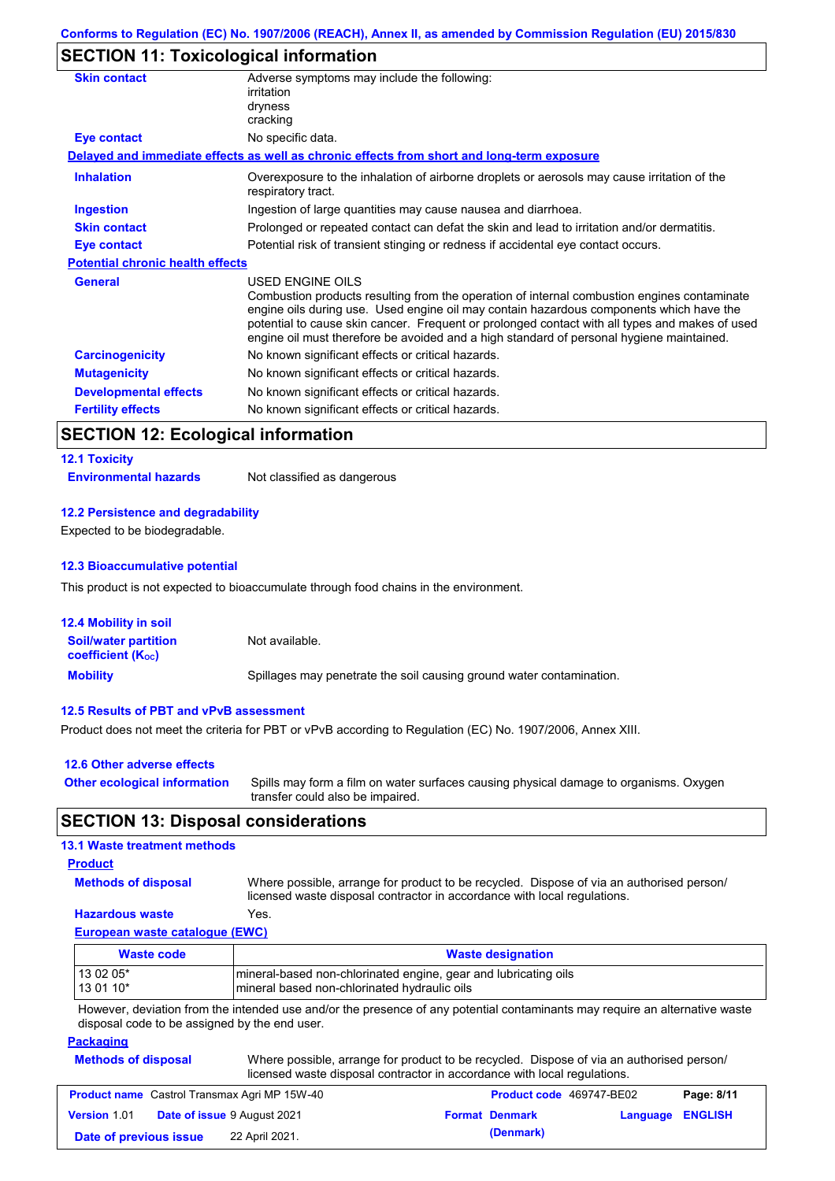## **SECTION 11: Toxicological information**

| Adverse symptoms may include the following:<br>irritation                                                                                                                                                                                                                                                                                                                                                |
|----------------------------------------------------------------------------------------------------------------------------------------------------------------------------------------------------------------------------------------------------------------------------------------------------------------------------------------------------------------------------------------------------------|
| dryness                                                                                                                                                                                                                                                                                                                                                                                                  |
| cracking                                                                                                                                                                                                                                                                                                                                                                                                 |
| No specific data.                                                                                                                                                                                                                                                                                                                                                                                        |
| Delayed and immediate effects as well as chronic effects from short and long-term exposure                                                                                                                                                                                                                                                                                                               |
| Overexposure to the inhalation of airborne droplets or aerosols may cause irritation of the<br>respiratory tract.                                                                                                                                                                                                                                                                                        |
| Ingestion of large quantities may cause nausea and diarrhoea.                                                                                                                                                                                                                                                                                                                                            |
| Prolonged or repeated contact can defat the skin and lead to irritation and/or dermatitis.                                                                                                                                                                                                                                                                                                               |
| Potential risk of transient stinging or redness if accidental eye contact occurs.                                                                                                                                                                                                                                                                                                                        |
| <b>Potential chronic health effects</b>                                                                                                                                                                                                                                                                                                                                                                  |
| USED ENGINE OILS<br>Combustion products resulting from the operation of internal combustion engines contaminate<br>engine oils during use. Used engine oil may contain hazardous components which have the<br>potential to cause skin cancer. Frequent or prolonged contact with all types and makes of used<br>engine oil must therefore be avoided and a high standard of personal hygiene maintained. |
| No known significant effects or critical hazards.                                                                                                                                                                                                                                                                                                                                                        |
| No known significant effects or critical hazards.                                                                                                                                                                                                                                                                                                                                                        |
| No known significant effects or critical hazards.                                                                                                                                                                                                                                                                                                                                                        |
| No known significant effects or critical hazards.                                                                                                                                                                                                                                                                                                                                                        |
|                                                                                                                                                                                                                                                                                                                                                                                                          |

### **SECTION 12: Ecological information**

#### **12.1 Toxicity**

**Environmental hazards** Not classified as dangerous

#### **12.2 Persistence and degradability**

Expected to be biodegradable.

#### **12.3 Bioaccumulative potential**

This product is not expected to bioaccumulate through food chains in the environment.

| <b>12.4 Mobility in soil</b>                            |                                                                      |
|---------------------------------------------------------|----------------------------------------------------------------------|
| <b>Soil/water partition</b><br><b>coefficient (Koc)</b> | Not available.                                                       |
| <b>Mobility</b>                                         | Spillages may penetrate the soil causing ground water contamination. |

#### **12.5 Results of PBT and vPvB assessment**

Product does not meet the criteria for PBT or vPvB according to Regulation (EC) No. 1907/2006, Annex XIII.

| 12.6 Other adverse effects          |                                                                                                                           |
|-------------------------------------|---------------------------------------------------------------------------------------------------------------------------|
| <b>Other ecological information</b> | Spills may form a film on water surfaces causing physical damage to organisms. Oxygen<br>transfer could also be impaired. |

### **SECTION 13: Disposal considerations**

### **13.1 Waste treatment methods**

### **Product**

**Methods of disposal**

Where possible, arrange for product to be recycled. Dispose of via an authorised person/ licensed waste disposal contractor in accordance with local regulations.

### **Hazardous waste** Yes.

### **European waste catalogue (EWC)**

| Waste code | <b>Waste designation</b>                                         |
|------------|------------------------------------------------------------------|
| 13 02 05*  | Imineral-based non-chlorinated engine, gear and lubricating oils |
| $130110*$  | mineral based non-chlorinated hydraulic oils                     |

However, deviation from the intended use and/or the presence of any potential contaminants may require an alternative waste disposal code to be assigned by the end user.

### **Packaging**

| <b>Methods of disposal</b> | Where possible, arrange for product to be recycled. Dispose of via an authorised person/<br>licensed waste disposal contractor in accordance with local regulations. |
|----------------------------|----------------------------------------------------------------------------------------------------------------------------------------------------------------------|
|                            |                                                                                                                                                                      |

| <b>Product name</b> Castrol Transmax Agri MP 15W-40 |  | <b>Product code</b> 469747-BE02    |  | Page: 8/11            |                         |  |
|-----------------------------------------------------|--|------------------------------------|--|-----------------------|-------------------------|--|
| Version 1.01                                        |  | <b>Date of issue 9 August 2021</b> |  | <b>Format Denmark</b> | <b>Language ENGLISH</b> |  |
| Date of previous issue                              |  | 22 April 2021.                     |  | (Denmark)             |                         |  |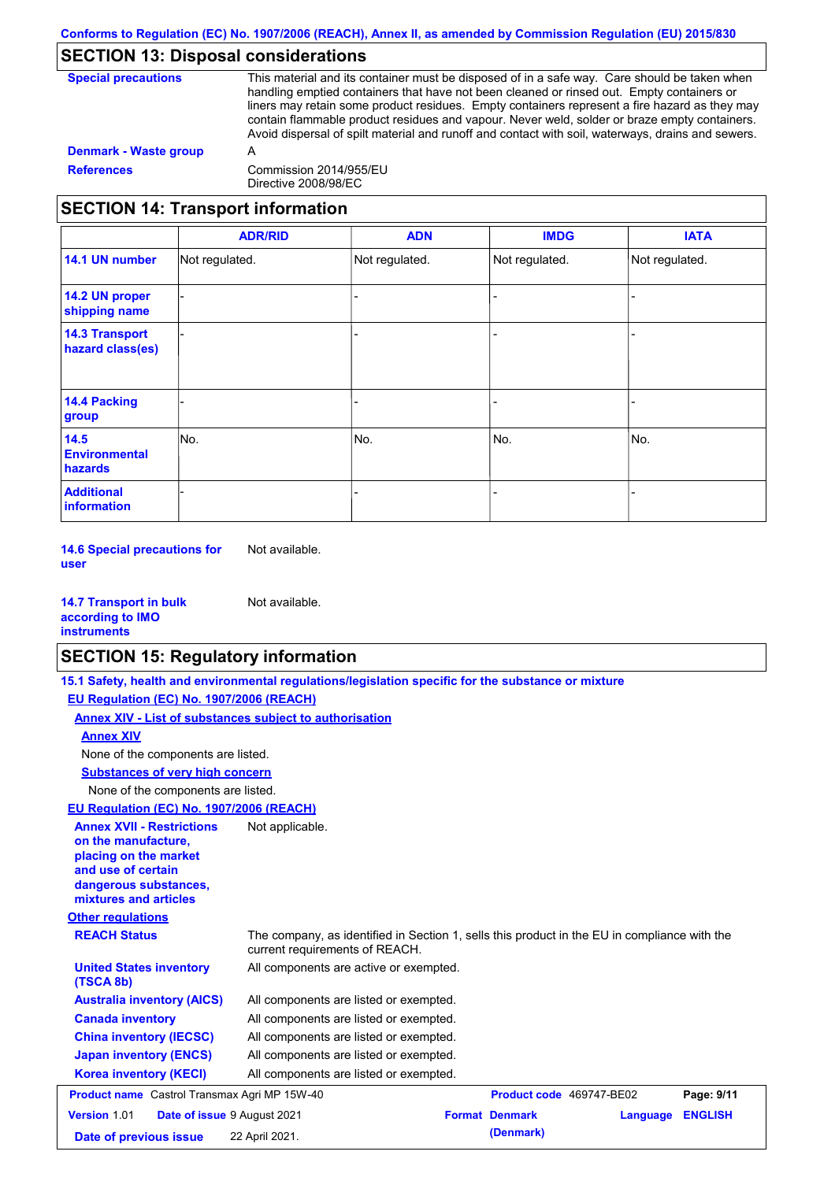### **SECTION 13: Disposal considerations**

| <b>Denmark - Waste group</b><br>А<br><b>References</b><br>Commission 2014/955/EU | <b>Special precautions</b> | This material and its container must be disposed of in a safe way. Care should be taken when<br>handling emptied containers that have not been cleaned or rinsed out. Empty containers or<br>liners may retain some product residues. Empty containers represent a fire hazard as they may<br>contain flammable product residues and vapour. Never weld, solder or braze empty containers.<br>Avoid dispersal of spilt material and runoff and contact with soil, waterways, drains and sewers. |  |
|----------------------------------------------------------------------------------|----------------------------|-------------------------------------------------------------------------------------------------------------------------------------------------------------------------------------------------------------------------------------------------------------------------------------------------------------------------------------------------------------------------------------------------------------------------------------------------------------------------------------------------|--|
|                                                                                  |                            |                                                                                                                                                                                                                                                                                                                                                                                                                                                                                                 |  |
|                                                                                  |                            | Directive 2008/98/EC                                                                                                                                                                                                                                                                                                                                                                                                                                                                            |  |

# **SECTION 14: Transport information**

|                                           | <b>ADR/RID</b> | <b>ADN</b>     | <b>IMDG</b>    | <b>IATA</b>    |
|-------------------------------------------|----------------|----------------|----------------|----------------|
| 14.1 UN number                            | Not regulated. | Not regulated. | Not regulated. | Not regulated. |
| 14.2 UN proper<br>shipping name           |                |                | -              |                |
| <b>14.3 Transport</b><br>hazard class(es) |                |                | -              |                |
| <b>14.4 Packing</b><br>group              |                |                | -              |                |
| 14.5<br><b>Environmental</b><br>hazards   | No.            | No.            | No.            | No.            |
| <b>Additional</b><br><b>information</b>   |                |                |                |                |

**14.6 Special precautions for user** Not available.

| <b>14.7 Transport in bulk</b> | Not available. |
|-------------------------------|----------------|
| according to IMO              |                |
| <b>instruments</b>            |                |

### **SECTION 15: Regulatory information**

**15.1 Safety, health and environmental regulations/legislation specific for the substance or mixture**

**EU Regulation (EC) No. 1907/2006 (REACH)**

| <b>Annex XIV - List of substances subject to authorisation</b>                                                                                           |                                                                                                                                |  |                          |          |                |
|----------------------------------------------------------------------------------------------------------------------------------------------------------|--------------------------------------------------------------------------------------------------------------------------------|--|--------------------------|----------|----------------|
| <b>Annex XIV</b>                                                                                                                                         |                                                                                                                                |  |                          |          |                |
| None of the components are listed.                                                                                                                       |                                                                                                                                |  |                          |          |                |
| <b>Substances of very high concern</b>                                                                                                                   |                                                                                                                                |  |                          |          |                |
| None of the components are listed.                                                                                                                       |                                                                                                                                |  |                          |          |                |
| EU Regulation (EC) No. 1907/2006 (REACH)                                                                                                                 |                                                                                                                                |  |                          |          |                |
| <b>Annex XVII - Restrictions</b><br>on the manufacture,<br>placing on the market<br>and use of certain<br>dangerous substances,<br>mixtures and articles | Not applicable.                                                                                                                |  |                          |          |                |
| <b>Other regulations</b>                                                                                                                                 |                                                                                                                                |  |                          |          |                |
| <b>REACH Status</b>                                                                                                                                      | The company, as identified in Section 1, sells this product in the EU in compliance with the<br>current requirements of REACH. |  |                          |          |                |
| <b>United States inventory</b><br>(TSCA 8b)                                                                                                              | All components are active or exempted.                                                                                         |  |                          |          |                |
| <b>Australia inventory (AICS)</b>                                                                                                                        | All components are listed or exempted.                                                                                         |  |                          |          |                |
| <b>Canada inventory</b>                                                                                                                                  | All components are listed or exempted.                                                                                         |  |                          |          |                |
| <b>China inventory (IECSC)</b>                                                                                                                           | All components are listed or exempted.                                                                                         |  |                          |          |                |
| <b>Japan inventory (ENCS)</b>                                                                                                                            | All components are listed or exempted.                                                                                         |  |                          |          |                |
| <b>Korea inventory (KECI)</b>                                                                                                                            | All components are listed or exempted.                                                                                         |  |                          |          |                |
| <b>Product name</b> Castrol Transmax Agri MP 15W-40                                                                                                      |                                                                                                                                |  | Product code 469747-BE02 |          | Page: 9/11     |
| Version 1.01<br>Date of issue 9 August 2021                                                                                                              |                                                                                                                                |  | <b>Format Denmark</b>    | Language | <b>ENGLISH</b> |
| Date of previous issue                                                                                                                                   | 22 April 2021.                                                                                                                 |  | (Denmark)                |          |                |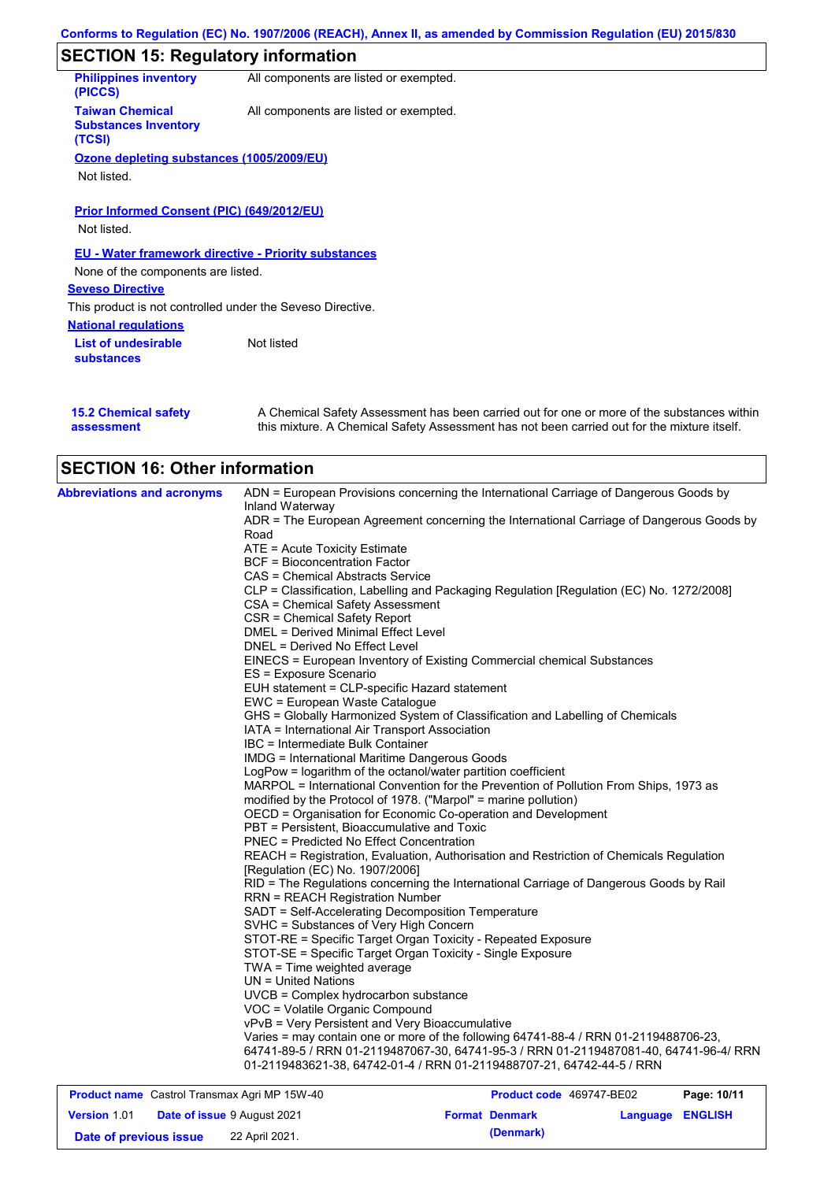|                                                                 | Conforms to Regulation (EC) No. 1907/2006 (REACH), Annex II, as amended by Commission Regulation (EU) 2015/830 |  |  |  |
|-----------------------------------------------------------------|----------------------------------------------------------------------------------------------------------------|--|--|--|
| <b>SECTION 15: Regulatory information</b>                       |                                                                                                                |  |  |  |
| <b>Philippines inventory</b><br>(PICCS)                         | All components are listed or exempted.                                                                         |  |  |  |
| <b>Taiwan Chemical</b><br><b>Substances Inventory</b><br>(TCSI) | All components are listed or exempted.                                                                         |  |  |  |
| Ozone depleting substances (1005/2009/EU)<br>Not listed.        |                                                                                                                |  |  |  |
| <b>Prior Informed Consent (PIC) (649/2012/EU)</b>               |                                                                                                                |  |  |  |
| Not listed.                                                     |                                                                                                                |  |  |  |
|                                                                 | <b>EU - Water framework directive - Priority substances</b>                                                    |  |  |  |
| None of the components are listed.                              |                                                                                                                |  |  |  |
| <b>Seveso Directive</b>                                         |                                                                                                                |  |  |  |
| This product is not controlled under the Seveso Directive.      |                                                                                                                |  |  |  |
| <b>National regulations</b>                                     |                                                                                                                |  |  |  |
| <b>List of undesirable</b><br><b>substances</b>                 | Not listed                                                                                                     |  |  |  |
|                                                                 |                                                                                                                |  |  |  |

| <b>15.2 Chemical safety</b> | A Chemical Safety Assessment has been carried out for one or more of the substances within  |
|-----------------------------|---------------------------------------------------------------------------------------------|
| assessment                  | this mixture. A Chemical Safety Assessment has not been carried out for the mixture itself. |

| <b>Abbreviations and acronyms</b>                   | ADN = European Provisions concerning the International Carriage of Dangerous Goods by                                                                                                        |  |  |  |  |
|-----------------------------------------------------|----------------------------------------------------------------------------------------------------------------------------------------------------------------------------------------------|--|--|--|--|
|                                                     | Inland Waterway<br>ADR = The European Agreement concerning the International Carriage of Dangerous Goods by<br>Road<br>ATE = Acute Toxicity Estimate<br><b>BCF</b> = Bioconcentration Factor |  |  |  |  |
|                                                     |                                                                                                                                                                                              |  |  |  |  |
|                                                     |                                                                                                                                                                                              |  |  |  |  |
|                                                     |                                                                                                                                                                                              |  |  |  |  |
|                                                     | CAS = Chemical Abstracts Service                                                                                                                                                             |  |  |  |  |
|                                                     | CLP = Classification, Labelling and Packaging Regulation [Regulation (EC) No. 1272/2008]                                                                                                     |  |  |  |  |
|                                                     | CSA = Chemical Safety Assessment                                                                                                                                                             |  |  |  |  |
|                                                     | CSR = Chemical Safety Report                                                                                                                                                                 |  |  |  |  |
|                                                     | DMEL = Derived Minimal Effect Level                                                                                                                                                          |  |  |  |  |
|                                                     | DNEL = Derived No Effect Level                                                                                                                                                               |  |  |  |  |
|                                                     | EINECS = European Inventory of Existing Commercial chemical Substances                                                                                                                       |  |  |  |  |
|                                                     | ES = Exposure Scenario                                                                                                                                                                       |  |  |  |  |
|                                                     | EUH statement = CLP-specific Hazard statement                                                                                                                                                |  |  |  |  |
|                                                     | EWC = European Waste Catalogue                                                                                                                                                               |  |  |  |  |
|                                                     | GHS = Globally Harmonized System of Classification and Labelling of Chemicals                                                                                                                |  |  |  |  |
|                                                     | IATA = International Air Transport Association<br>IBC = Intermediate Bulk Container<br><b>IMDG = International Maritime Dangerous Goods</b>                                                  |  |  |  |  |
|                                                     |                                                                                                                                                                                              |  |  |  |  |
|                                                     |                                                                                                                                                                                              |  |  |  |  |
|                                                     | LogPow = logarithm of the octanol/water partition coefficient                                                                                                                                |  |  |  |  |
|                                                     | MARPOL = International Convention for the Prevention of Pollution From Ships, 1973 as                                                                                                        |  |  |  |  |
|                                                     | modified by the Protocol of 1978. ("Marpol" = marine pollution)                                                                                                                              |  |  |  |  |
|                                                     | OECD = Organisation for Economic Co-operation and Development                                                                                                                                |  |  |  |  |
|                                                     | PBT = Persistent, Bioaccumulative and Toxic                                                                                                                                                  |  |  |  |  |
|                                                     | PNEC = Predicted No Effect Concentration                                                                                                                                                     |  |  |  |  |
|                                                     | REACH = Registration, Evaluation, Authorisation and Restriction of Chemicals Regulation<br>[Regulation (EC) No. 1907/2006]                                                                   |  |  |  |  |
|                                                     | RID = The Regulations concerning the International Carriage of Dangerous Goods by Rail                                                                                                       |  |  |  |  |
|                                                     | <b>RRN = REACH Registration Number</b>                                                                                                                                                       |  |  |  |  |
|                                                     | SADT = Self-Accelerating Decomposition Temperature                                                                                                                                           |  |  |  |  |
|                                                     | SVHC = Substances of Very High Concern                                                                                                                                                       |  |  |  |  |
|                                                     | STOT-RE = Specific Target Organ Toxicity - Repeated Exposure                                                                                                                                 |  |  |  |  |
|                                                     | STOT-SE = Specific Target Organ Toxicity - Single Exposure                                                                                                                                   |  |  |  |  |
|                                                     | TWA = Time weighted average<br>UN = United Nations                                                                                                                                           |  |  |  |  |
|                                                     | UVCB = Complex hydrocarbon substance                                                                                                                                                         |  |  |  |  |
|                                                     |                                                                                                                                                                                              |  |  |  |  |
|                                                     | VOC = Volatile Organic Compound<br>vPvB = Very Persistent and Very Bioaccumulative                                                                                                           |  |  |  |  |
|                                                     | Varies = may contain one or more of the following 64741-88-4 / RRN 01-2119488706-23,                                                                                                         |  |  |  |  |
|                                                     | 64741-89-5 / RRN 01-2119487067-30, 64741-95-3 / RRN 01-2119487081-40, 64741-96-4/ RRN                                                                                                        |  |  |  |  |
|                                                     | 01-2119483621-38, 64742-01-4 / RRN 01-2119488707-21, 64742-44-5 / RRN                                                                                                                        |  |  |  |  |
|                                                     |                                                                                                                                                                                              |  |  |  |  |
| <b>Product name</b> Castrol Transmay Agri MP 15W-40 | <b>Product code</b> 469747-RE02<br>P <sub>2</sub> na: 10/11                                                                                                                                  |  |  |  |  |

|                        | <b>Product name</b> Castrol Transmax Agri MP 15W-40 | Product code 469747-BE02 |                         | Page: 10/11 |
|------------------------|-----------------------------------------------------|--------------------------|-------------------------|-------------|
| <b>Version 1.01</b>    | <b>Date of issue 9 August 2021</b>                  | <b>Format Denmark</b>    | <b>Language ENGLISH</b> |             |
| Date of previous issue | 22 April 2021.                                      | (Denmark)                |                         |             |